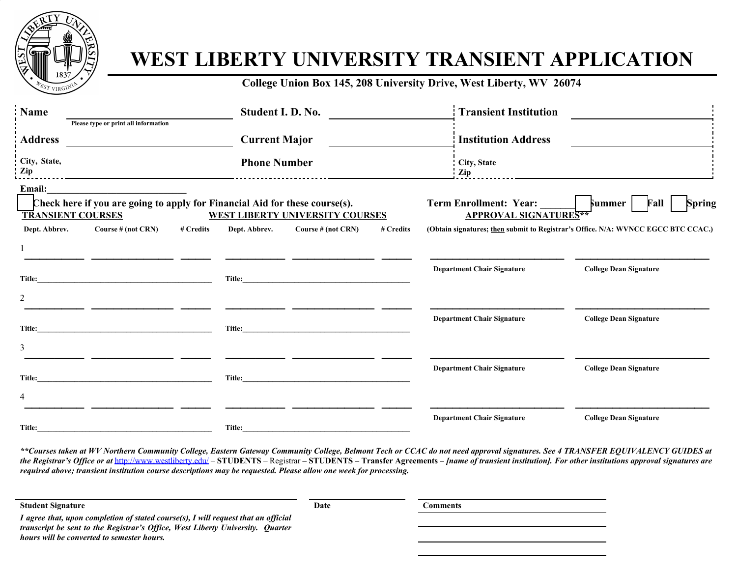

## **WEST LIBERTY UNIVERSITY TRANSIENT APPLICATION**

**College Union Box 145, 208 University Drive, West Liberty, WV 26074**

| <b>Name</b>              | Please type or print all information                                        |           | Student I. D. No.    |                                        |           | <b>Transient Institution</b>                                  |                                                                                   |
|--------------------------|-----------------------------------------------------------------------------|-----------|----------------------|----------------------------------------|-----------|---------------------------------------------------------------|-----------------------------------------------------------------------------------|
| <b>Address</b>           |                                                                             |           | <b>Current Major</b> |                                        |           | <b>Institution Address</b>                                    |                                                                                   |
| City, State,<br>Zip      |                                                                             |           | <b>Phone Number</b>  |                                        |           | City, State<br>Zip                                            |                                                                                   |
| Email:                   |                                                                             |           |                      |                                        |           |                                                               |                                                                                   |
| <b>TRANSIENT COURSES</b> | Check here if you are going to apply for Financial Aid for these course(s). |           |                      | <b>WEST LIBERTY UNIVERSITY COURSES</b> |           | <b>Term Enrollment: Year:</b><br><b>APPROVAL SIGNATURES**</b> | Spring<br>Summer<br>Fall                                                          |
| Dept. Abbrev.            | Course $# (not CRN)$                                                        | # Credits | Dept. Abbrev.        | Course # (not CRN)                     | # Credits |                                                               | (Obtain signatures; then submit to Registrar's Office. N/A: WVNCC EGCC BTC CCAC.) |
|                          |                                                                             |           |                      |                                        |           |                                                               |                                                                                   |
|                          |                                                                             |           |                      |                                        |           | <b>Department Chair Signature</b>                             | <b>College Dean Signature</b>                                                     |
| Title:                   |                                                                             |           | Title:               |                                        |           |                                                               |                                                                                   |
| $\overline{2}$           |                                                                             |           |                      |                                        |           |                                                               |                                                                                   |
| Title:                   |                                                                             |           | Title:               |                                        |           | <b>Department Chair Signature</b>                             | <b>College Dean Signature</b>                                                     |
| 3                        |                                                                             |           |                      |                                        |           |                                                               |                                                                                   |
|                          |                                                                             |           |                      |                                        |           | <b>Department Chair Signature</b>                             | <b>College Dean Signature</b>                                                     |
| Title:                   |                                                                             |           | Title:               |                                        |           |                                                               |                                                                                   |
| 4                        |                                                                             |           |                      |                                        |           |                                                               |                                                                                   |
| Title:                   |                                                                             |           | Title:               |                                        |           | <b>Department Chair Signature</b>                             | <b>College Dean Signature</b>                                                     |

*\*\*Courses taken at WV Northern Community College, Eastern Gateway Community College, Belmont Tech or CCAC do not need approval signatures. See 4 TRANSFER EQUIVALENCY GUIDES at* the Registrar's Office or at <http://www.westliberty.edu/> - STUDENTS - Registrar - STUDENTS - Transfer Agreements - /name of transient institution]. For other institutions approval signatures are *required above; transient institution course descriptions may be requested. Please allow one week for processing.*

| <b>Student Signature</b>                                                              | Date | Comments |
|---------------------------------------------------------------------------------------|------|----------|
| I agree that, upon completion of stated course(s), I will request that an official    |      |          |
| <i>transcript be sent to the Registrar's Office, West Liberty University. Quarter</i> |      |          |
| hours will be converted to semester hours.                                            |      |          |